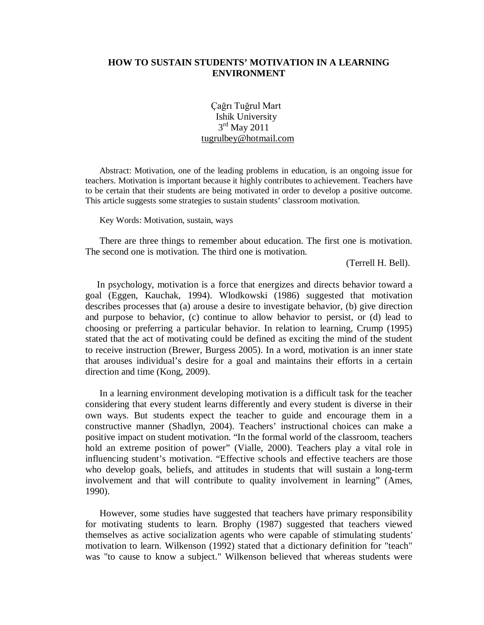### **HOW TO SUSTAIN STUDENTS' MOTIVATION IN A LEARNING ENVIRONMENT**

Çağrı Tuğrul Mart Ishik University  $3<sup>rd</sup>$  May 2011 [tugrulbey@hotmail.com](mailto:tugrulbey@hotmail.com) 

 Abstract: Motivation, one of the leading problems in education, is an ongoing issue for to be certain that their students are being motivated in order to develop a positive outcome. teachers. Motivation is important because it highly contributes to achievement. Teachers have This article suggests some strategies to sustain students' classroom motivation.

Key Words: Motivation, sustain, ways

 There are three things to remember about education. The first one is motivation. The second one is motivation. The third one is motivation.

(Terrell H. Bell).

 stated that the act of motivating could be defined as exciting the mind of the student to receive instruction (Brewer, Burgess 2005). In a word, motivation is an inner state that arouses individual's desire for a goal and maintains their efforts in a certain In psychology, motivation is a force that energizes and directs behavior toward a goal (Eggen, Kauchak, 1994). Wlodkowski (1986) suggested that motivation describes processes that (a) arouse a desire to investigate behavior, (b) give direction and purpose to behavior, (c) continue to allow behavior to persist, or (d) lead to choosing or preferring a particular behavior. In relation to learning, Crump (1995) direction and time (Kong, 2009).

 own ways. But students expect the teacher to guide and encourage them in a positive impact on student motivation. "In the formal world of the classroom, teachers hold an extreme position of power" (Vialle, 2000). Teachers play a vital role in influencing student's motivation. "Effective schools and effective teachers are those involvement and that will contribute to quality involvement in learning" (Ames, In a learning environment developing motivation is a difficult task for the teacher considering that every student learns differently and every student is diverse in their constructive manner (Shadlyn, 2004). Teachers' instructional choices can make a who develop goals, beliefs, and attitudes in students that will sustain a long-term 1990).

 for motivating students to learn. Brophy (1987) suggested that teachers viewed However, some studies have suggested that teachers have primary responsibility themselves as active socialization agents who were capable of stimulating students' motivation to learn. Wilkenson (1992) stated that a dictionary definition for "teach" was "to cause to know a subject." Wilkenson believed that whereas students were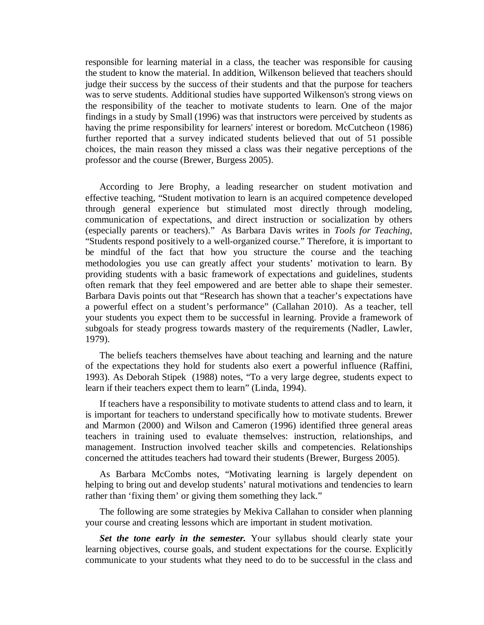responsible for learning material in a class, the teacher was responsible for causing the student to know the material. In addition, Wilkenson believed that teachers should was to serve students. Additional studies have supported Wilkenson's strong views on findings in a study by Small (1996) was that instructors were perceived by students as professor and the course (Brewer, Burgess 2005). judge their success by the success of their students and that the purpose for teachers the responsibility of the teacher to motivate students to learn. One of the major having the prime responsibility for learners' interest or boredom. McCutcheon (1986) further reported that a survey indicated students believed that out of 51 possible choices, the main reason they missed a class was their negative perceptions of the

 effective teaching, "Student motivation to learn is an acquired competence developed through general experience but stimulated most directly through modeling, communication of expectations, and direct instruction or socialization by others (especially parents or teachers)." As Barbara Davis writes in *Tools for Teaching*, "Students respond positively to a well-organized course." Therefore, it is important to a powerful effect on a student's performance" (Callahan 2010). As a teacher, tell your students you expect them to be successful in learning. Provide a framework of subgoals for steady progress towards mastery of the requirements (Nadler, Lawler, According to Jere Brophy, a leading researcher on student motivation and be mindful of the fact that how you structure the course and the teaching methodologies you use can greatly affect your students' motivation to learn. By providing students with a basic framework of expectations and guidelines, students often remark that they feel empowered and are better able to shape their semester. Barbara Davis points out that "Research has shown that a teacher's expectations have 1979).

 The beliefs teachers themselves have about teaching and learning and the nature of the expectations they hold for students also exert a powerful influence (Raffini, 1993). As Deborah Stipek (1988) notes, "To a very large degree, students expect to learn if their teachers expect them to learn" (Linda, 1994).

 If teachers have a responsibility to motivate students to attend class and to learn, it concerned the attitudes teachers had toward their students (Brewer, Burgess 2005). is important for teachers to understand specifically how to motivate students. Brewer and Marmon (2000) and Wilson and Cameron (1996) identified three general areas teachers in training used to evaluate themselves: instruction, relationships, and management. Instruction involved teacher skills and competencies. Relationships

 As Barbara McCombs notes, "Motivating learning is largely dependent on helping to bring out and develop students' natural motivations and tendencies to learn rather than 'fixing them' or giving them something they lack."

The following are some strategies by Mekiva Callahan to consider when planning your course and creating lessons which are important in student motivation.

 *Set the tone early in the semester.* Your syllabus should clearly state your communicate to your students what they need to do to be successful in the class and learning objectives, course goals, and student expectations for the course. Explicitly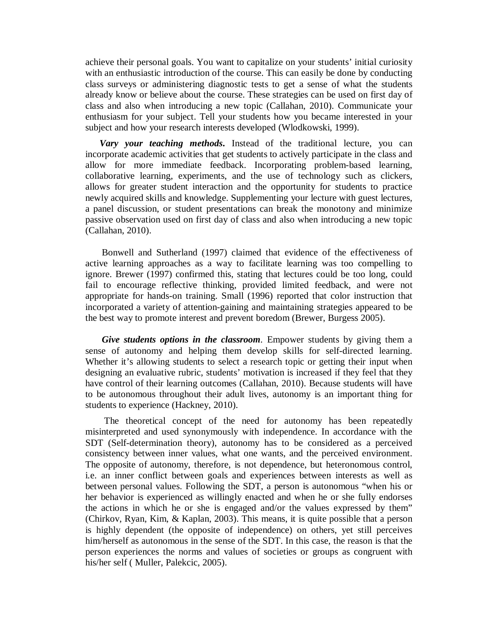already know or believe about the course. These strategies can be used on first day of enthusiasm for your subject. Tell your students how you became interested in your achieve their personal goals. You want to capitalize on your students' initial curiosity with an enthusiastic introduction of the course. This can easily be done by conducting class surveys or administering diagnostic tests to get a sense of what the students class and also when introducing a new topic (Callahan, 2010). Communicate your subject and how your research interests developed (Wlodkowski, 1999).

 incorporate academic activities that get students to actively participate in the class and newly acquired skills and knowledge. Supplementing your lecture with guest lectures, *Vary your teaching methods***.** Instead of the traditional lecture, you can allow for more immediate feedback. Incorporating problem-based learning, collaborative learning, experiments, and the use of technology such as clickers, allows for greater student interaction and the opportunity for students to practice a panel discussion, or student presentations can break the monotony and minimize passive observation used on first day of class and also when introducing a new topic (Callahan, 2010).

 fail to encourage reflective thinking, provided limited feedback, and were not the best way to promote interest and prevent boredom (Brewer, Burgess 2005). Bonwell and Sutherland (1997) claimed that evidence of the effectiveness of active learning approaches as a way to facilitate learning was too compelling to ignore. Brewer (1997) confirmed this, stating that lectures could be too long, could appropriate for hands-on training. Small (1996) reported that color instruction that incorporated a variety of attention-gaining and maintaining strategies appeared to be

 sense of autonomy and helping them develop skills for self-directed learning. Whether it's allowing students to select a research topic or getting their input when designing an evaluative rubric, students' motivation is increased if they feel that they have control of their learning outcomes (Callahan, 2010). Because students will have to be autonomous throughout their adult lives, autonomy is an important thing for *Give students options in the classroom.* Empower students by giving them a students to experience (Hackney, 2010).

 The opposite of autonomy, therefore, is not dependence, but heteronomous control, i.e. an inner conflict between goals and experiences between interests as well as her behavior is experienced as willingly enacted and when he or she fully endorses the actions in which he or she is engaged and/or the values expressed by them" (Chirkov, Ryan, Kim, & Kaplan, 2003). This means, it is quite possible that a person is highly dependent (the opposite of independence) on others, yet still perceives him/herself as autonomous in the sense of the SDT. In this case, the reason is that the The theoretical concept of the need for autonomy has been repeatedly misinterpreted and used synonymously with independence. In accordance with the SDT (Self-determination theory), autonomy has to be considered as a perceived consistency between inner values, what one wants, and the perceived environment. between personal values. Following the SDT, a person is autonomous "when his or person experiences the norms and values of societies or groups as congruent with his/her self ( Muller, Palekcic, 2005).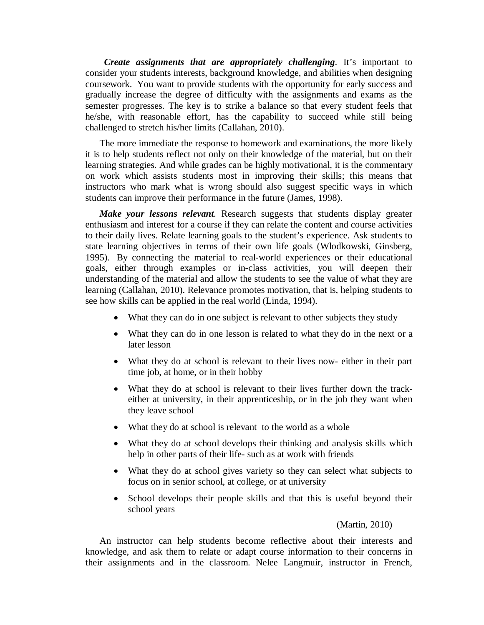coursework. You want to provide students with the opportunity for early success and he/she, with reasonable effort, has the capability to succeed while still being *Create assignments that are appropriately challenging*. It's important to consider your students interests, background knowledge, and abilities when designing gradually increase the degree of difficulty with the assignments and exams as the semester progresses. The key is to strike a balance so that every student feels that challenged to stretch his/her limits (Callahan, 2010).

 it is to help students reflect not only on their knowledge of the material, but on their on work which assists students most in improving their skills; this means that students can improve their performance in the future (James, 1998). The more immediate the response to homework and examinations, the more likely learning strategies. And while grades can be highly motivational, it is the commentary instructors who mark what is wrong should also suggest specific ways in which

 *Make your lessons relevant.* Research suggests that students display greater enthusiasm and interest for a course if they can relate the content and course activities to their daily lives. Relate learning goals to the student's experience. Ask students to 1995). By connecting the material to real-world experiences or their educational see how skills can be applied in the real world (Linda, 1994). state learning objectives in terms of their own life goals (Wlodkowski, Ginsberg, goals, either through examples or in-class activities, you will deepen their understanding of the material and allow the students to see the value of what they are learning (Callahan, 2010). Relevance promotes motivation, that is, helping students to

- What they can do in one subject is relevant to other subjects they study
- What they can do in one lesson is related to what they do in the next or a later lesson
- • What they do at school is relevant to their lives now- either in their part time job, at home, or in their hobby
- • What they do at school is relevant to their lives further down the track- either at university, in their apprenticeship, or in the job they want when they leave school
- What they do at school is relevant to the world as a whole
- help in other parts of their life- such as at work with friends • What they do at school develops their thinking and analysis skills which
- What they do at school gives variety so they can select what subjects to focus on in senior school, at college, or at university
- • School develops their people skills and that this is useful beyond their school years

#### (Martin, 2010)

 An instructor can help students become reflective about their interests and knowledge, and ask them to relate or adapt course information to their concerns in their assignments and in the classroom. Nelee Langmuir, instructor in French,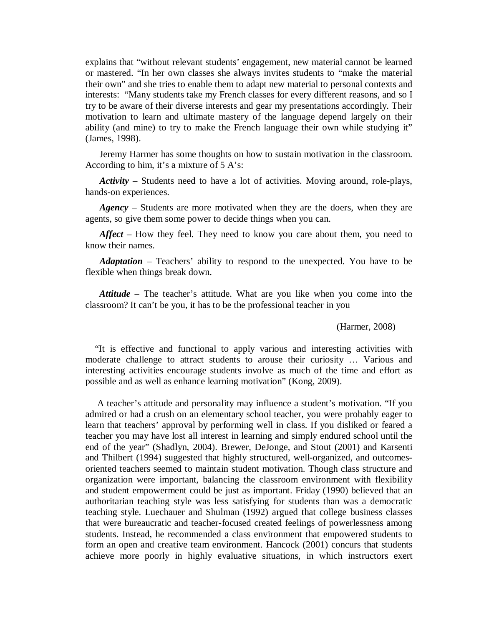their own" and she tries to enable them to adapt new material to personal contexts and interests: "Many students take my French classes for every different reasons, and so I ability (and mine) to try to make the French language their own while studying it" explains that "without relevant students' engagement, new material cannot be learned or mastered. "In her own classes she always invites students to "make the material try to be aware of their diverse interests and gear my presentations accordingly. Their motivation to learn and ultimate mastery of the language depend largely on their (James, 1998).

 Jeremy Harmer has some thoughts on how to sustain motivation in the classroom. According to him, it's a mixture of 5 A's:

*Activity* – Students need to have a lot of activities. Moving around, role-plays, hands-on experiences.

*Agency* – Students are more motivated when they are the doers, when they are agents, so give them some power to decide things when you can.

 *Affect* – How they feel. They need to know you care about them, you need to know their names.

*Adaptation* – Teachers' ability to respond to the unexpected. You have to be flexible when things break down.

 classroom? It can't be you, it has to be the professional teacher in you *Attitude* – The teacher's attitude. What are you like when you come into the

(Harmer, 2008)

 interesting activities encourage students involve as much of the time and effort as "It is effective and functional to apply various and interesting activities with moderate challenge to attract students to arouse their curiosity … Various and possible and as well as enhance learning motivation" (Kong, 2009).

 A teacher's attitude and personality may influence a student's motivation. "If you admired or had a crush on an elementary school teacher, you were probably eager to learn that teachers' approval by performing well in class. If you disliked or feared a teacher you may have lost all interest in learning and simply endured school until the oriented teachers seemed to maintain student motivation. Though class structure and organization were important, balancing the classroom environment with flexibility and student empowerment could be just as important. Friday (1990) believed that an authoritarian teaching style was less satisfying for students than was a democratic achieve more poorly in highly evaluative situations, in which instructors exert end of the year" (Shadlyn, 2004). Brewer, DeJonge, and Stout (2001) and Karsenti and Thilbert (1994) suggested that highly structured, well-organized, and outcomesteaching style. Luechauer and Shulman (1992) argued that college business classes that were bureaucratic and teacher-focused created feelings of powerlessness among students. Instead, he recommended a class environment that empowered students to form an open and creative team environment. Hancock (2001) concurs that students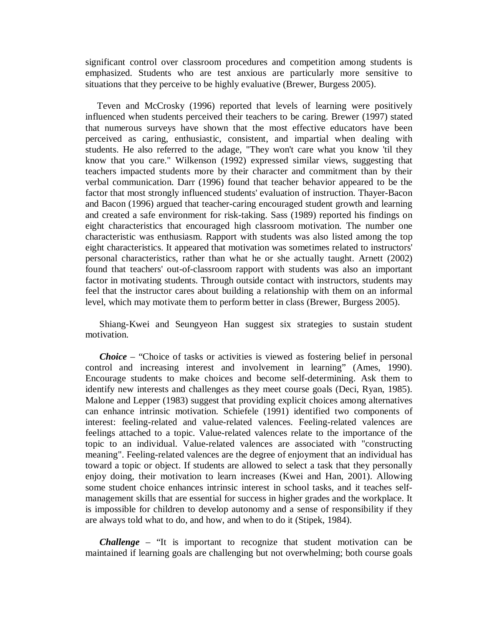significant control over classroom procedures and competition among students is situations that they perceive to be highly evaluative (Brewer, Burgess 2005). emphasized. Students who are test anxious are particularly more sensitive to

 that numerous surveys have shown that the most effective educators have been know that you care." Wilkenson (1992) expressed similar views, suggesting that teachers impacted students more by their character and commitment than by their factor that most strongly influenced students' evaluation of instruction. Thayer-Bacon eight characteristics that encouraged high classroom motivation. The number one factor in motivating students. Through outside contact with instructors, students may level, which may motivate them to perform better in class (Brewer, Burgess 2005). Teven and McCrosky (1996) reported that levels of learning were positively influenced when students perceived their teachers to be caring. Brewer (1997) stated perceived as caring, enthusiastic, consistent, and impartial when dealing with students. He also referred to the adage, "They won't care what you know 'til they verbal communication. Darr (1996) found that teacher behavior appeared to be the and Bacon (1996) argued that teacher-caring encouraged student growth and learning and created a safe environment for risk-taking. Sass (1989) reported his findings on characteristic was enthusiasm. Rapport with students was also listed among the top eight characteristics. It appeared that motivation was sometimes related to instructors' personal characteristics, rather than what he or she actually taught. Arnett (2002) found that teachers' out-of-classroom rapport with students was also an important feel that the instructor cares about building a relationship with them on an informal

Shiang-Kwei and Seungyeon Han suggest six strategies to sustain student motivation.

 *Choice* – "Choice of tasks or activities is viewed as fostering belief in personal control and increasing interest and involvement in learning" (Ames, 1990). can enhance intrinsic motivation. Schiefele (1991) identified two components of meaning". Feeling-related valences are the degree of enjoyment that an individual has some student choice enhances intrinsic interest in school tasks, and it teaches self- management skills that are essential for success in higher grades and the workplace. It is impossible for children to develop autonomy and a sense of responsibility if they Encourage students to make choices and become self-determining. Ask them to identify new interests and challenges as they meet course goals (Deci, Ryan, 1985). Malone and Lepper (1983) suggest that providing explicit choices among alternatives interest: feeling-related and value-related valences. Feeling-related valences are feelings attached to a topic. Value-related valences relate to the importance of the topic to an individual. Value-related valences are associated with "constructing toward a topic or object. If students are allowed to select a task that they personally enjoy doing, their motivation to learn increases (Kwei and Han, 2001). Allowing are always told what to do, and how, and when to do it (Stipek, 1984).

 *Challenge* – "It is important to recognize that student motivation can be maintained if learning goals are challenging but not overwhelming; both course goals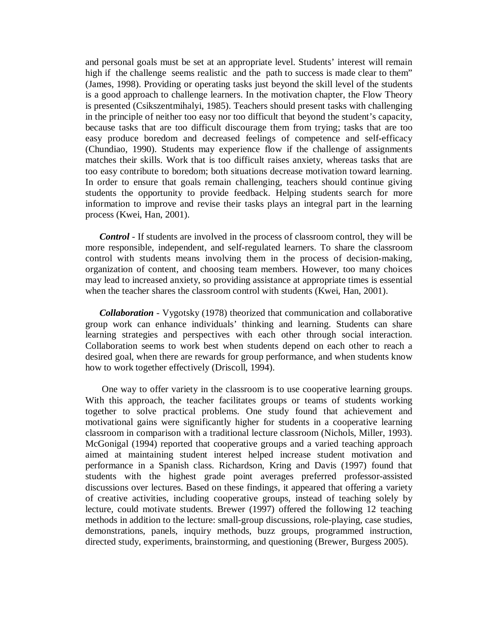high if the challenge seems realistic and the path to success is made clear to them" (James, 1998). Providing or operating tasks just beyond the skill level of the students (Chundiao, 1990). Students may experience flow if the challenge of assignments matches their skills. Work that is too difficult raises anxiety, whereas tasks that are too easy contribute to boredom; both situations decrease motivation toward learning. students the opportunity to provide feedback. Helping students search for more information to improve and revise their tasks plays an integral part in the learning and personal goals must be set at an appropriate level. Students' interest will remain is a good approach to challenge learners. In the motivation chapter, the Flow Theory is presented (Csikszentmihalyi, 1985). Teachers should present tasks with challenging in the principle of neither too easy nor too difficult that beyond the student's capacity, because tasks that are too difficult discourage them from trying; tasks that are too easy produce boredom and decreased feelings of competence and self-efficacy In order to ensure that goals remain challenging, teachers should continue giving process (Kwei, Han, 2001).

 *Control* - If students are involved in the process of classroom control, they will be more responsible, independent, and self-regulated learners. To share the classroom control with students means involving them in the process of decision-making, organization of content, and choosing team members. However, too many choices may lead to increased anxiety, so providing assistance at appropriate times is essential when the teacher shares the classroom control with students (Kwei, Han, 2001).

 learning strategies and perspectives with each other through social interaction. Collaboration seems to work best when students depend on each other to reach a *Collaboration* - Vygotsky (1978) theorized that communication and collaborative group work can enhance individuals' thinking and learning. Students can share desired goal, when there are rewards for group performance, and when students know how to work together effectively (Driscoll, 1994).

 motivational gains were significantly higher for students in a cooperative learning discussions over lectures. Based on these findings, it appeared that offering a variety of creative activities, including cooperative groups, instead of teaching solely by demonstrations, panels, inquiry methods, buzz groups, programmed instruction, directed study, experiments, brainstorming, and questioning (Brewer, Burgess 2005). One way to offer variety in the classroom is to use cooperative learning groups. With this approach, the teacher facilitates groups or teams of students working together to solve practical problems. One study found that achievement and classroom in comparison with a traditional lecture classroom (Nichols, Miller, 1993). McGonigal (1994) reported that cooperative groups and a varied teaching approach aimed at maintaining student interest helped increase student motivation and performance in a Spanish class. Richardson, Kring and Davis (1997) found that students with the highest grade point averages preferred professor-assisted lecture, could motivate students. Brewer (1997) offered the following 12 teaching methods in addition to the lecture: small-group discussions, role-playing, case studies,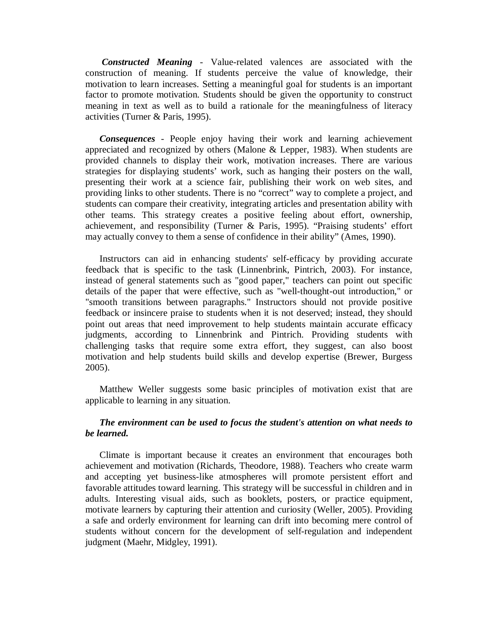*Constructed Meaning* - Value-related valences are associated with the construction of meaning. If students perceive the value of knowledge, their motivation to learn increases. Setting a meaningful goal for students is an important factor to promote motivation. Students should be given the opportunity to construct meaning in text as well as to build a rationale for the meaningfulness of literacy activities (Turner & Paris, 1995).

*Consequences* - People enjoy having their work and learning achievement appreciated and recognized by others (Malone & Lepper, 1983). When students are provided channels to display their work, motivation increases. There are various strategies for displaying students' work, such as hanging their posters on the wall, presenting their work at a science fair, publishing their work on web sites, and providing links to other students. There is no "correct" way to complete a project, and students can compare their creativity, integrating articles and presentation ability with other teams. This strategy creates a positive feeling about effort, ownership, achievement, and responsibility (Turner & Paris, 1995). "Praising students' effort may actually convey to them a sense of confidence in their ability" (Ames, 1990).

Instructors can aid in enhancing students' self-efficacy by providing accurate feedback that is specific to the task (Linnenbrink, Pintrich, 2003). For instance, instead of general statements such as "good paper," teachers can point out specific details of the paper that were effective, such as "well-thought-out introduction," or "smooth transitions between paragraphs." Instructors should not provide positive feedback or insincere praise to students when it is not deserved; instead, they should point out areas that need improvement to help students maintain accurate efficacy judgments, according to Linnenbrink and Pintrich. Providing students with challenging tasks that require some extra effort, they suggest, can also boost motivation and help students build skills and develop expertise (Brewer, Burgess 2005).

Matthew Weller suggests some basic principles of motivation exist that are applicable to learning in any situation.

## *The environment can be used to focus the student's attention on what needs to be learned.*

Climate is important because it creates an environment that encourages both achievement and motivation (Richards, Theodore, 1988). Teachers who create warm and accepting yet business-like atmospheres will promote persistent effort and favorable attitudes toward learning. This strategy will be successful in children and in adults. Interesting visual aids, such as booklets, posters, or practice equipment, motivate learners by capturing their attention and curiosity (Weller, 2005). Providing a safe and orderly environment for learning can drift into becoming mere control of students without concern for the development of self-regulation and independent judgment (Maehr, Midgley, 1991).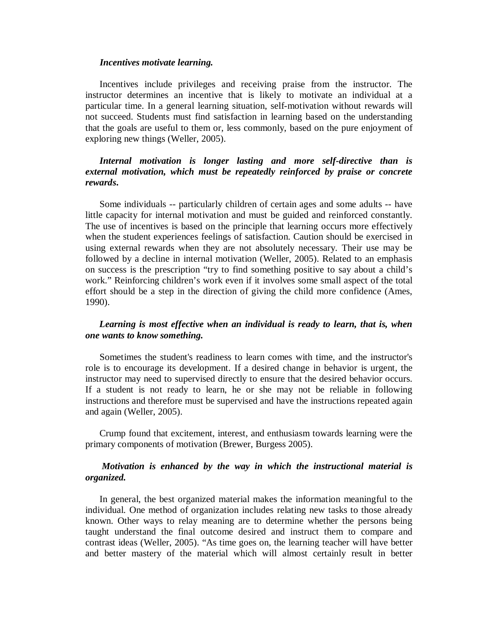#### *Incentives motivate learning.*

 Incentives include privileges and receiving praise from the instructor. The instructor determines an incentive that is likely to motivate an individual at a not succeed. Students must find satisfaction in learning based on the understanding that the goals are useful to them or, less commonly, based on the pure enjoyment of particular time. In a general learning situation, self-motivation without rewards will exploring new things (Weller, 2005).

# *Internal motivation is longer lasting and more self-directive than is external motivation, which must be repeatedly reinforced by praise or concrete rewards***.**

 little capacity for internal motivation and must be guided and reinforced constantly. The use of incentives is based on the principle that learning occurs more effectively when the student experiences feelings of satisfaction. Caution should be exercised in using external rewards when they are not absolutely necessary. Their use may be work." Reinforcing children's work even if it involves some small aspect of the total effort should be a step in the direction of giving the child more confidence (Ames, 1990). Some individuals -- particularly children of certain ages and some adults -- have followed by a decline in internal motivation (Weller, 2005). Related to an emphasis on success is the prescription "try to find something positive to say about a child's

## *one wants to know something. Learning is most effective when an individual is ready to learn, that is, when*

 role is to encourage its development. If a desired change in behavior is urgent, the instructor may need to supervised directly to ensure that the desired behavior occurs. If a student is not ready to learn, he or she may not be reliable in following Sometimes the student's readiness to learn comes with time, and the instructor's instructions and therefore must be supervised and have the instructions repeated again and again (Weller, 2005).

 primary components of motivation (Brewer, Burgess 2005). Crump found that excitement, interest, and enthusiasm towards learning were the

## *organized. Motivation is enhanced by the way in which the instructional material is*

 In general, the best organized material makes the information meaningful to the known. Other ways to relay meaning are to determine whether the persons being contrast ideas (Weller, 2005). "As time goes on, the learning teacher will have better and better mastery of the material which will almost certainly result in better individual. One method of organization includes relating new tasks to those already taught understand the final outcome desired and instruct them to compare and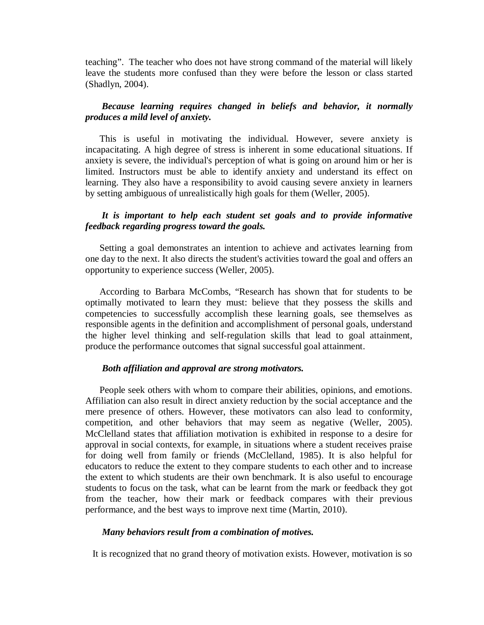teaching". The teacher who does not have strong command of the material will likely (Shadlyn, 2004). leave the students more confused than they were before the lesson or class started

## *produces a mild level of anxiety. Because learning requires changed in beliefs and behavior, it normally*

 This is useful in motivating the individual. However, severe anxiety is incapacitating. A high degree of stress is inherent in some educational situations. If anxiety is severe, the individual's perception of what is going on around him or her is limited. Instructors must be able to identify anxiety and understand its effect on learning. They also have a responsibility to avoid causing severe anxiety in learners by setting ambiguous of unrealistically high goals for them (Weller, 2005).

# *feedback regarding progress toward the goals. It is important to help each student set goals and to provide informative*

 Setting a goal demonstrates an intention to achieve and activates learning from one day to the next. It also directs the student's activities toward the goal and offers an opportunity to experience success (Weller, 2005).

 According to Barbara McCombs, "Research has shown that for students to be optimally motivated to learn they must: believe that they possess the skills and competencies to successfully accomplish these learning goals, see themselves as responsible agents in the definition and accomplishment of personal goals, understand the higher level thinking and self-regulation skills that lead to goal attainment, produce the performance outcomes that signal successful goal attainment.

### *Both affiliation and approval are strong motivators.*

 McClelland states that affiliation motivation is exhibited in response to a desire for for doing well from family or friends (McClelland, 1985). It is also helpful for educators to reduce the extent to they compare students to each other and to increase students to focus on the task, what can be learnt from the mark or feedback they got performance, and the best ways to improve next time (Martin, 2010). People seek others with whom to compare their abilities, opinions, and emotions. Affiliation can also result in direct anxiety reduction by the social acceptance and the mere presence of others. However, these motivators can also lead to conformity, competition, and other behaviors that may seem as negative (Weller, 2005). approval in social contexts, for example, in situations where a student receives praise the extent to which students are their own benchmark. It is also useful to encourage from the teacher, how their mark or feedback compares with their previous

#### *Many behaviors result from a combination of motives.*

It is recognized that no grand theory of motivation exists. However, motivation is so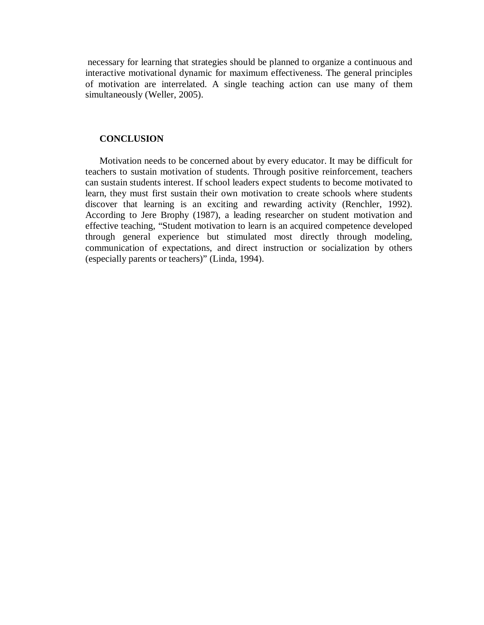necessary for learning that strategies should be planned to organize a continuous and interactive motivational dynamic for maximum effectiveness. The general principles of motivation are interrelated. A single teaching action can use many of them simultaneously (Weller, 2005).

### **CONCLUSION**

 Motivation needs to be concerned about by every educator. It may be difficult for can sustain students interest. If school leaders expect students to become motivated to learn, they must first sustain their own motivation to create schools where students discover that learning is an exciting and rewarding activity (Renchler, 1992). effective teaching, "Student motivation to learn is an acquired competence developed through general experience but stimulated most directly through modeling, communication of expectations, and direct instruction or socialization by others (especially parents or teachers)" (Linda, 1994). teachers to sustain motivation of students. Through positive reinforcement, teachers According to Jere Brophy (1987), a leading researcher on student motivation and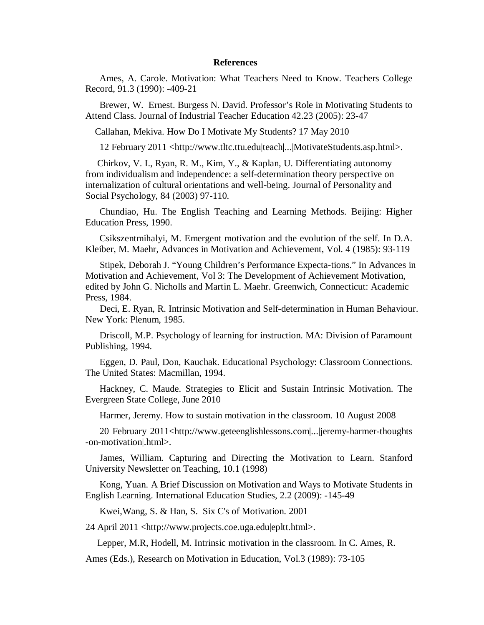#### **References**

Ames, A. Carole. Motivation: What Teachers Need to Know. Teachers College Record, 91.3 (1990): -409-21

Brewer, W. Ernest. Burgess N. David. Professor's Role in Motivating Students to Attend Class. Journal of Industrial Teacher Education 42.23 (2005): 23-47

Callahan, Mekiva. How Do I Motivate My Students? 17 May 2010

12 February 2011 <http://www.tltc.ttu.edu|teach|...|MotivateStudents.asp.html>.

Chirkov, V. I., Ryan, R. M., Kim, Y., & Kaplan, U. Differentiating autonomy from individualism and independence: a self-determination theory perspective on internalization of cultural orientations and well-being. Journal of Personality and Social Psychology, 84 (2003) 97-110.

Chundiao, Hu. The English Teaching and Learning Methods. Beijing: Higher Education Press, 1990.

Csikszentmihalyi, M. Emergent motivation and the evolution of the self. In D.A. Kleiber, M. Maehr, Advances in Motivation and Achievement, Vol. 4 (1985): 93-119

 Stipek, Deborah J. "Young Children's Performance Expecta-tions." In Advances in Motivation and Achievement, Vol 3: The Development of Achievement Motivation, edited by John G. Nicholls and Martin L. Maehr. Greenwich, Connecticut: Academic Press, 1984.

Deci, E. Ryan, R. Intrinsic Motivation and Self-determination in Human Behaviour. New York: Plenum, 1985.

 Driscoll, M.P. Psychology of learning for instruction. MA: Division of Paramount Publishing, 1994.

Eggen, D. Paul, Don, Kauchak. Educational Psychology: Classroom Connections. The United States: Macmillan, 1994.

Hackney, C. Maude. Strategies to Elicit and Sustain Intrinsic Motivation. The Evergreen State College, June 2010

Harmer, Jeremy. How to sustain motivation in the classroom. 10 August 2008

20 February 2011<http://www.geteenglishlessons.com|...|jeremy-harmer-thoughts -on-motivation|.html>.

James, William. Capturing and Directing the Motivation to Learn. Stanford University Newsletter on Teaching, 10.1 (1998)

Kong, Yuan. A Brief Discussion on Motivation and Ways to Motivate Students in English Learning. International Education Studies, 2.2 (2009): -145-49

Kwei,Wang, S. & Han, S. Six C's of Motivation. 2001

24 April 2011 <http://www.projects.coe.uga.edu|epltt.html>.

Lepper, M.R, Hodell, M. Intrinsic motivation in the classroom. In C. Ames, R.

Ames (Eds.), Research on Motivation in Education, Vol.3 (1989): 73-105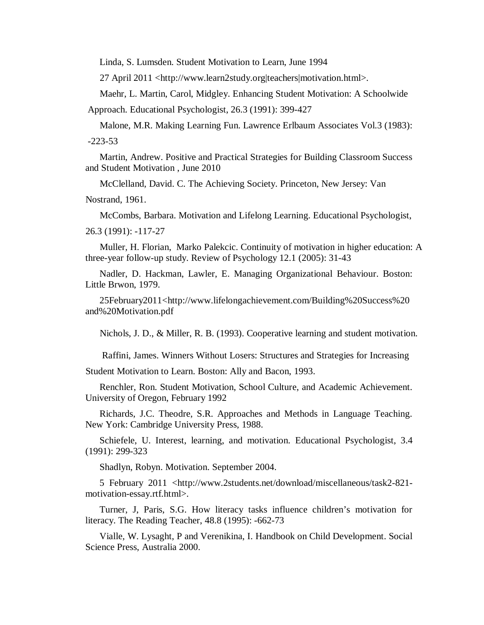Linda, S. Lumsden. Student Motivation to Learn, June 1994

27 April 2011 <http://www.learn2study.org|teachers|motivation.html>.

Maehr, L. Martin, Carol, Midgley. Enhancing Student Motivation: A Schoolwide

Approach. Educational Psychologist, 26.3 (1991): 399-427

Malone, M.R. Making Learning Fun. Lawrence Erlbaum Associates Vol.3 (1983): -223-53

Martin, Andrew. Positive and Practical Strategies for Building Classroom Success and Student Motivation , June 2010

McClelland, David. C. The Achieving Society. Princeton, New Jersey: Van

Nostrand, 1961.

McCombs, Barbara. Motivation and Lifelong Learning. Educational Psychologist,

26.3 (1991): -117-27

Muller, H. Florian, Marko Palekcic. Continuity of motivation in higher education: A three-year follow-up study. Review of Psychology 12.1 (2005): 31-43

Nadler, D. Hackman, Lawler, E. Managing Organizational Behaviour. Boston: Little Brwon, 1979.

25February2011<http://www.lifelongachievement.com/Building%20Success%20 and%20Motivation.pdf

Nichols, J. D., & Miller, R. B. (1993). Cooperative learning and student motivation.

Raffini, James. Winners Without Losers: Structures and Strategies for Increasing Student Motivation to Learn. Boston: Ally and Bacon, 1993.

Renchler, Ron. Student Motivation, School Culture, and Academic Achievement. University of Oregon, February 1992

Richards, J.C. Theodre, S.R. Approaches and Methods in Language Teaching. New York: Cambridge University Press, 1988.

Schiefele, U. Interest, learning, and motivation. Educational Psychologist, 3.4 (1991): 299-323

Shadlyn, Robyn. Motivation. September 2004.

5 February 2011 <http://www.2students.net/download/miscellaneous/task2-821 motivation-essay.rtf.html>.

 Turner, J, Paris, S.G. How literacy tasks influence children's motivation for literacy. The Reading Teacher, 48.8 (1995): -662-73

Vialle, W. Lysaght, P and Verenikina, I. Handbook on Child Development. Social Science Press, Australia 2000.